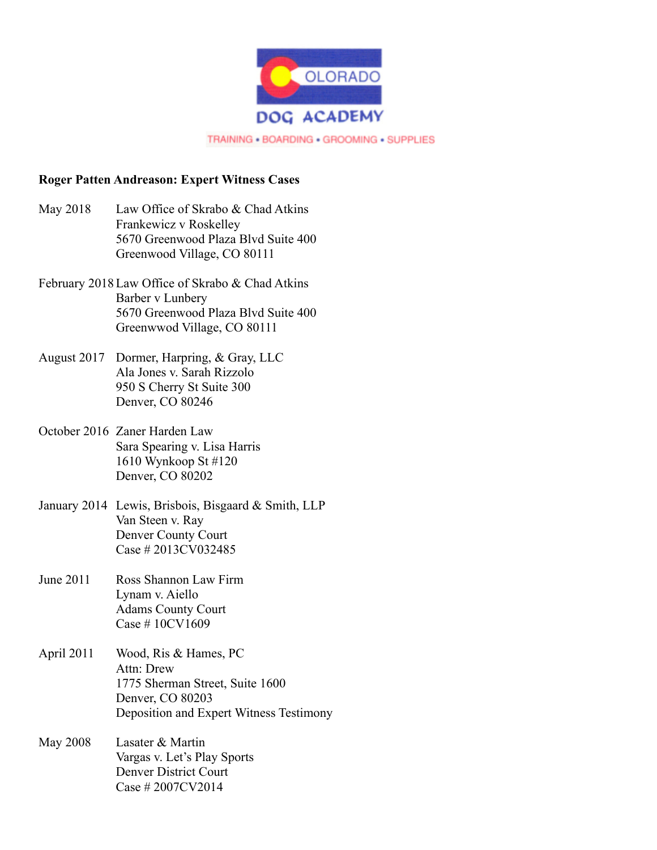

## **Roger Patten Andreason: Expert Witness Cases**

- May 2018 Law Office of Skrabo & Chad Atkins Frankewicz v Roskelley 5670 Greenwood Plaza Blvd Suite 400 Greenwood Village, CO 80111
- February 2018Law Office of Skrabo & Chad Atkins Barber v Lunbery 5670 Greenwood Plaza Blvd Suite 400 Greenwwod Village, CO 80111
- August 2017 Dormer, Harpring, & Gray, LLC Ala Jones v. Sarah Rizzolo 950 S Cherry St Suite 300 Denver, CO 80246
- October 2016 Zaner Harden Law Sara Spearing v. Lisa Harris 1610 Wynkoop St #120 Denver, CO 80202
- January 2014 Lewis, Brisbois, Bisgaard & Smith, LLP Van Steen v. Ray Denver County Court Case # 2013CV032485
- June 2011 Ross Shannon Law Firm Lynam v. Aiello Adams County Court Case # 10CV1609
- April 2011 Wood, Ris & Hames, PC Attn: Drew 1775 Sherman Street, Suite 1600 Denver, CO 80203 Deposition and Expert Witness Testimony
- May 2008 Lasater & Martin Vargas v. Let's Play Sports Denver District Court Case # 2007CV2014